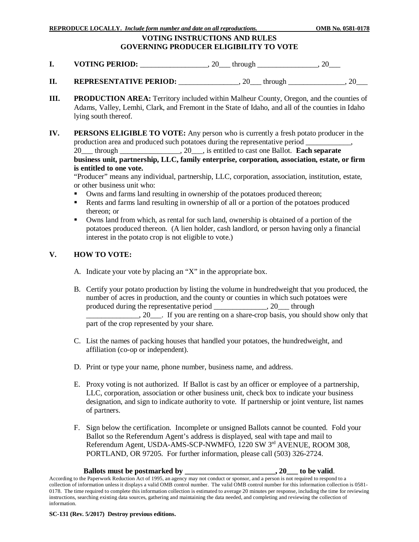## **VOTING INSTRUCTIONS AND RULES GOVERNING PRODUCER ELIGIBILITY TO VOTE**

- **I. VOTING PERIOD:** \_\_\_\_\_\_\_\_\_\_\_\_\_, 20\_\_\_ through \_\_\_\_\_\_\_\_\_\_\_\_, 20\_\_\_
- **II.** REPRESENTATIVE PERIOD: \_\_\_\_\_\_\_\_\_\_\_\_\_\_, 20\_\_\_ through \_\_\_\_\_\_\_\_\_\_\_\_\_\_, 20\_\_\_
- **III. PRODUCTION AREA:** Territory included within Malheur County, Oregon, and the counties of Adams, Valley, Lemhi, Clark, and Fremont in the State of Idaho, and all of the counties in Idaho lying south thereof.
- **IV. PERSONS ELIGIBLE TO VOTE:** Any person who is currently a fresh potato producer in the production area and produced such potatoes during the representative period \_\_\_\_\_ 20\_\_\_ through \_\_\_\_\_\_\_\_\_\_\_\_\_\_\_\_, 20\_\_\_, is entitled to cast one Ballot. **Each separate business unit, partnership, LLC, family enterprise, corporation, association, estate, or firm is entitled to one vote.**

"Producer" means any individual, partnership, LLC, corporation, association, institution, estate, or other business unit who:

- Owns and farms land resulting in ownership of the potatoes produced thereon;
- Rents and farms land resulting in ownership of all or a portion of the potatoes produced thereon; or
- Owns land from which, as rental for such land, ownership is obtained of a portion of the potatoes produced thereon. (A lien holder, cash landlord, or person having only a financial interest in the potato crop is not eligible to vote.)

#### **V. HOW TO VOTE:**

- A. Indicate your vote by placing an "X" in the appropriate box.
- B. Certify your potato production by listing the volume in hundredweight that you produced, the number of acres in production, and the county or counties in which such potatoes were produced during the representative period \_\_\_\_\_\_\_\_\_\_\_\_\_\_, 20\_\_\_ through  $\Box$ , 20, Figure 1. If you are renting on a share-crop basis, you should show only that part of the crop represented by your share.
- C. List the names of packing houses that handled your potatoes, the hundredweight, and affiliation (co-op or independent).
- D. Print or type your name, phone number, business name, and address.
- E. Proxy voting is not authorized. If Ballot is cast by an officer or employee of a partnership, LLC, corporation, association or other business unit, check box to indicate your business designation, and sign to indicate authority to vote. If partnership or joint venture, list names of partners.
- F. Sign below the certification. Incomplete or unsigned Ballots cannot be counted. Fold your Ballot so the Referendum Agent's address is displayed, seal with tape and mail to Referendum Agent, USDA-AMS-SCP-NWMFO, 1220 SW 3rd AVENUE, ROOM 308, PORTLAND, OR 97205. For further information, please call (503) 326-2724.

#### **Ballots must be postmarked by \_\_\_\_\_\_\_\_\_\_\_\_\_\_\_\_\_\_\_\_\_\_\_\_, 20\_\_\_ to be valid**.

According to the Paperwork Reduction Act of 1995, an agency may not conduct or sponsor, and a person is not required to respond to a collection of information unless it displays a valid OMB control number. The valid OMB control number for this information collection is 0581- 0178. The time required to complete this information collection is estimated to average 20 minutes per response, including the time for reviewing instructions, searching existing data sources, gathering and maintaining the data needed, and completing and reviewing the collection of information.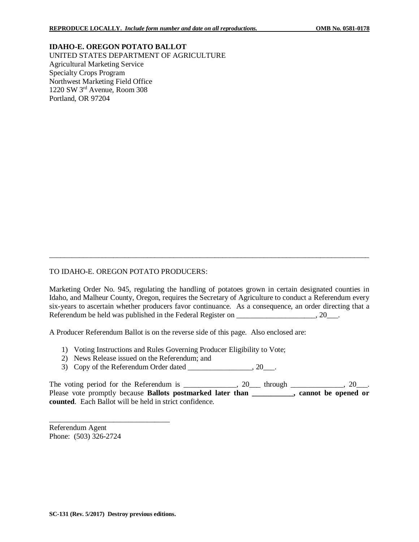**IDAHO-E. OREGON POTATO BALLOT** UNITED STATES DEPARTMENT OF AGRICULTURE Agricultural Marketing Service Specialty Crops Program Northwest Marketing Field Office 1220 SW 3rd Avenue, Room 308 Portland, OR 97204

### TO IDAHO-E. OREGON POTATO PRODUCERS:

Marketing Order No. 945, regulating the handling of potatoes grown in certain designated counties in Idaho, and Malheur County, Oregon, requires the Secretary of Agriculture to conduct a Referendum every six-years to ascertain whether producers favor continuance. As a consequence, an order directing that a Referendum be held was published in the Federal Register on \_\_\_\_\_\_\_\_\_\_\_\_\_\_\_\_\_\_\_, 20\_\_\_.

\_\_\_\_\_\_\_\_\_\_\_\_\_\_\_\_\_\_\_\_\_\_\_\_\_\_\_\_\_\_\_\_\_\_\_\_\_\_\_\_\_\_\_\_\_\_\_\_\_\_\_\_\_\_\_\_\_\_\_\_\_\_\_\_\_\_\_\_\_\_\_\_\_\_\_\_\_\_\_\_\_\_\_\_\_

A Producer Referendum Ballot is on the reverse side of this page. Also enclosed are:

- 1) Voting Instructions and Rules Governing Producer Eligibility to Vote;
- 2) News Release issued on the Referendum; and
- 3) Copy of the Referendum Order dated \_\_\_\_\_\_\_\_\_\_\_\_\_\_\_\_, 20\_\_\_.

The voting period for the Referendum is \_\_\_\_\_\_\_\_\_\_\_,  $20$  through \_\_\_\_\_\_\_\_\_,  $20$ \_\_. Please vote promptly because **Ballots postmarked later than \_\_\_\_\_\_\_\_\_, cannot be opened or counted**. Each Ballot will be held in strict confidence.

\_\_\_\_\_\_\_\_\_\_\_\_\_\_\_\_\_\_\_\_\_\_\_\_\_\_\_\_\_\_\_\_ Referendum Agent Phone: (503) 326-2724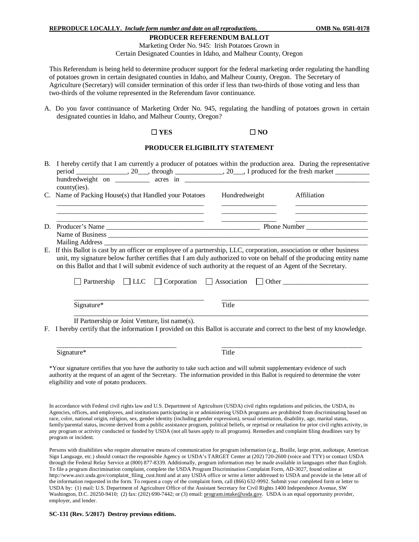#### **PRODUCER REFERENDUM BALLOT**

Marketing Order No. 945: Irish Potatoes Grown in Certain Designated Counties in Idaho, and Malheur County, Oregon

This Referendum is being held to determine producer support for the federal marketing order regulating the handling of potatoes grown in certain designated counties in Idaho, and Malheur County, Oregon. The Secretary of Agriculture (Secretary) will consider termination of this order if less than two-thirds of those voting and less than two-thirds of the volume represented in the Referendum favor continuance.

A. Do you favor continuance of Marketing Order No. 945, regulating the handling of potatoes grown in certain designated counties in Idaho, and Malheur County, Oregon?

#### $\Box$  YES  $\Box$  NO

## **PRODUCER ELIGIBILITY STATEMENT**

|          | B. I hereby certify that I am currently a producer of potatoes within the production area. During the representative<br>county(ies).                                                                                                                                                                                                                       |                                                                    |                                                             |
|----------|------------------------------------------------------------------------------------------------------------------------------------------------------------------------------------------------------------------------------------------------------------------------------------------------------------------------------------------------------------|--------------------------------------------------------------------|-------------------------------------------------------------|
|          | C. Name of Packing House(s) that Handled your Potatoes                                                                                                                                                                                                                                                                                                     | Hundredweight                                                      | Affiliation                                                 |
|          |                                                                                                                                                                                                                                                                                                                                                            |                                                                    | <u> 1980 - Johann John Stone, market fransk politiker (</u> |
| D.<br>Е. |                                                                                                                                                                                                                                                                                                                                                            | <u> 1980 - Johann Barbara, margaret eta politikaria (h. 1908).</u> |                                                             |
|          |                                                                                                                                                                                                                                                                                                                                                            |                                                                    |                                                             |
|          |                                                                                                                                                                                                                                                                                                                                                            |                                                                    |                                                             |
|          | If this Ballot is cast by an officer or employee of a partnership, LLC, corporation, association or other business<br>unit, my signature below further certifies that I am duly authorized to vote on behalf of the producing entity name<br>on this Ballot and that I will submit evidence of such authority at the request of an Agent of the Secretary. |                                                                    |                                                             |
|          | Partnership $\Box$ LLC                                                                                                                                                                                                                                                                                                                                     | Corporation Association Other                                      |                                                             |
|          | Signature*                                                                                                                                                                                                                                                                                                                                                 | Title                                                              |                                                             |
|          | If Partnership or Joint Venture, list name(s).                                                                                                                                                                                                                                                                                                             |                                                                    |                                                             |
|          | F. I hereby certify that the information I provided on this Ballot is accurate and correct to the best of my knowledge.                                                                                                                                                                                                                                    |                                                                    |                                                             |
|          | Signature*                                                                                                                                                                                                                                                                                                                                                 | Title                                                              |                                                             |

\*Your signature certifies that you have the authority to take such action and will submit supplementary evidence of such authority at the request of an agent of the Secretary. The information provided in this Ballot is required to determine the voter eligibility and vote of potato producers.

In accordance with Federal civil rights law and U.S. Department of Agriculture (USDA) civil rights regulations and policies, the USDA, its Agencies, offices, and employees, and institutions participating in or administering USDA programs are prohibited from discriminating based on race, color, national origin, religion, sex, gender identity (including gender expression), sexual orientation, disability, age, marital status, family/parental status, income derived from a public assistance program, political beliefs, or reprisal or retaliation for prior civil rights activity, in any program or activity conducted or funded by USDA (not all bases apply to all programs). Remedies and complaint filing deadlines vary by program or incident.

Persons with disabilities who require alternative means of communication for program information (e.g., Braille, large print, audiotape, American Sign Language, etc.) should contact the responsible Agency or USDA's TARGET Center at (202) 720-2600 (voice and TTY) or contact USDA through the Federal Relay Service at (800) 877-8339. Additionally, program information may be made available in languages other than English. To file a program discrimination complaint, complete the USDA Program Discrimination Complaint Form, AD-3027, found online at http://www.ascr.usda.gov/complaint\_filing\_cust.html and at any USDA office or write a letter addressed to USDA and provide in the letter all of the information requested in the form. To request a copy of the complaint form, call (866) 632-9992. Submit your completed form or letter to USDA by: (1) mail: U.S. Department of Agriculture Office of the Assistant Secretary for Civil Rights 1400 Independence Avenue, SW Washington, D.C. 20250-9410; (2) fax: (202) 690-7442; or (3) email[: program.intake@usda.gov.](mailto:program.intake@usda.gov) USDA is an equal opportunity provider, employer, and lender.

#### **SC-131 (Rev. 5/2017) Destroy previous editions.**